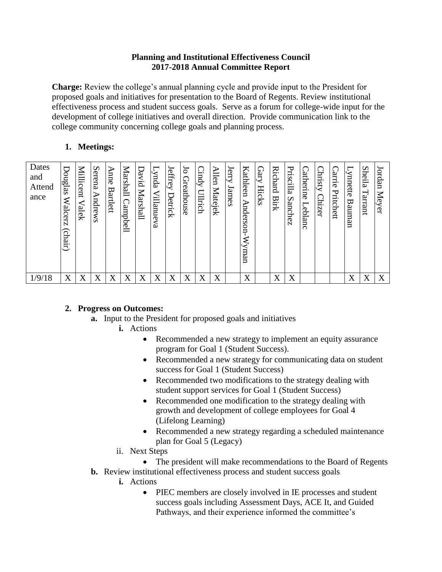## **Planning and Institutional Effectiveness Council 2017-2018 Annual Committee Report**

**Charge:** Review the college's annual planning cycle and provide input to the President for proposed goals and initiatives for presentation to the Board of Regents. Review institutional effectiveness process and student success goals. Serve as a forum for college-wide input for the development of college initiatives and overall direction. Provide communication link to the college community concerning college goals and planning process.

## **1. Meetings:**

## **2. Progress on Outcomes:**

- **a.** Input to the President for proposed goals and initiatives
	- **i.** Actions
		- Recommended a new strategy to implement an equity assurance program for Goal 1 (Student Success).
		- Recommended a new strategy for communicating data on student success for Goal 1 (Student Success)
		- Recommended two modifications to the strategy dealing with student support services for Goal 1 (Student Success)
		- Recommended one modification to the strategy dealing with growth and development of college employees for Goal 4 (Lifelong Learning)
		- Recommended a new strategy regarding a scheduled maintenance plan for Goal 5 (Legacy)
	- ii. Next Steps
- The president will make recommendations to the Board of Regents **b.** Review institutional effectiveness process and student success goals
	- **i.** Actions
		- PIEC members are closely involved in IE processes and student success goals including Assessment Days, ACE It, and Guided Pathways, and their experience informed the committee's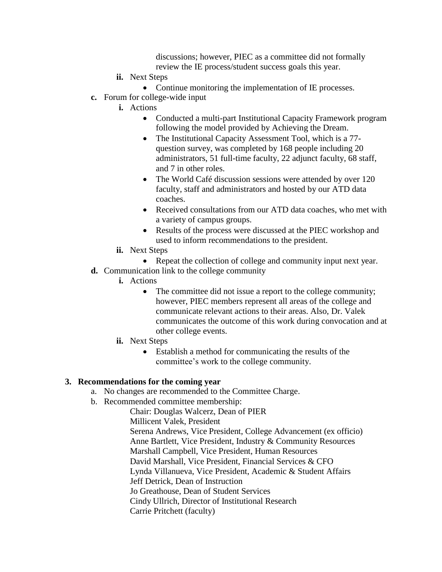discussions; however, PIEC as a committee did not formally review the IE process/student success goals this year.

- **ii.** Next Steps
	- Continue monitoring the implementation of IE processes.
- **c.** Forum for college-wide input
	- **i.** Actions
		- Conducted a multi-part Institutional Capacity Framework program following the model provided by Achieving the Dream.
		- The Institutional Capacity Assessment Tool, which is a 77question survey, was completed by 168 people including 20 administrators, 51 full-time faculty, 22 adjunct faculty, 68 staff, and 7 in other roles.
		- The World Café discussion sessions were attended by over 120 faculty, staff and administrators and hosted by our ATD data coaches.
		- Received consultations from our ATD data coaches, who met with a variety of campus groups.
		- Results of the process were discussed at the PIEC workshop and used to inform recommendations to the president.
	- **ii.** Next Steps
- Repeat the collection of college and community input next year.
- **d.** Communication link to the college community
	- **i.** Actions
		- The committee did not issue a report to the college community; however, PIEC members represent all areas of the college and communicate relevant actions to their areas. Also, Dr. Valek communicates the outcome of this work during convocation and at other college events.
	- **ii.** Next Steps
		- Establish a method for communicating the results of the committee's work to the college community.

## **3. Recommendations for the coming year**

- a. No changes are recommended to the Committee Charge.
- b. Recommended committee membership:

Chair: Douglas Walcerz, Dean of PIER Millicent Valek, President Serena Andrews, Vice President, College Advancement (ex officio) Anne Bartlett, Vice President, Industry & Community Resources Marshall Campbell, Vice President, Human Resources David Marshall, Vice President, Financial Services & CFO Lynda Villanueva, Vice President, Academic & Student Affairs Jeff Detrick, Dean of Instruction Jo Greathouse, Dean of Student Services Cindy Ullrich, Director of Institutional Research Carrie Pritchett (faculty)